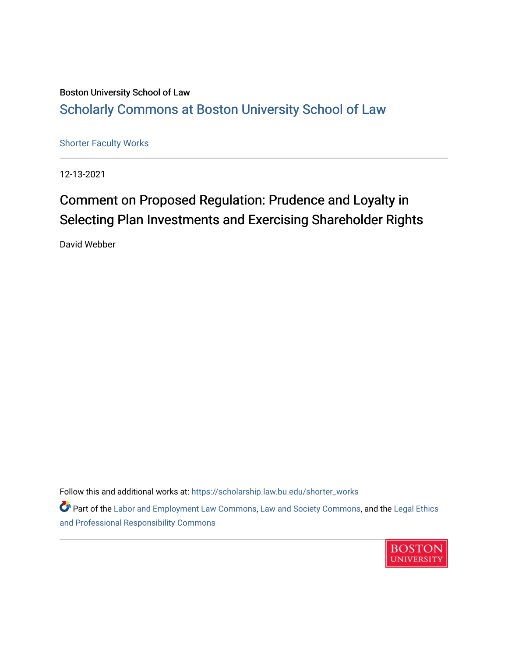## Boston University School of Law [Scholarly Commons at Boston University School of Law](https://scholarship.law.bu.edu/)

[Shorter Faculty Works](https://scholarship.law.bu.edu/shorter_works)

12-13-2021

## Comment on Proposed Regulation: Prudence and Loyalty in Selecting Plan Investments and Exercising Shareholder Rights

David Webber

Follow this and additional works at: [https://scholarship.law.bu.edu/shorter\\_works](https://scholarship.law.bu.edu/shorter_works?utm_source=scholarship.law.bu.edu%2Fshorter_works%2F134&utm_medium=PDF&utm_campaign=PDFCoverPages)

**P** Part of the [Labor and Employment Law Commons](http://network.bepress.com/hgg/discipline/909?utm_source=scholarship.law.bu.edu%2Fshorter_works%2F134&utm_medium=PDF&utm_campaign=PDFCoverPages), [Law and Society Commons,](http://network.bepress.com/hgg/discipline/853?utm_source=scholarship.law.bu.edu%2Fshorter_works%2F134&utm_medium=PDF&utm_campaign=PDFCoverPages) and the Legal Ethics [and Professional Responsibility Commons](http://network.bepress.com/hgg/discipline/895?utm_source=scholarship.law.bu.edu%2Fshorter_works%2F134&utm_medium=PDF&utm_campaign=PDFCoverPages) 

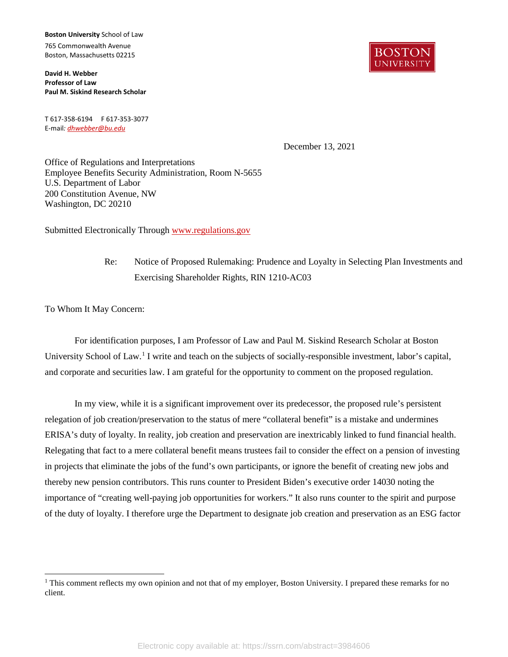**Boston University** School of Law 765 Commonwealth Avenue Boston, Massachusetts 02215

**David H. Webber Professor of Law Paul M. Siskind Research Scholar**

T 617-358-6194 F 617-353-3077 E-mail*[: dhwebber@bu.edu](mailto:dhwebber@bu.edu)*

BOSTON **UNIVERSIT** 

December 13, 2021

Office of Regulations and Interpretations Employee Benefits Security Administration, Room N-5655 U.S. Department of Labor 200 Constitution Avenue, NW Washington, DC 20210

Submitted Electronically Through [www.regulations.gov](http://www.regulations.gov/)

Re: Notice of Proposed Rulemaking: Prudence and Loyalty in Selecting Plan Investments and Exercising Shareholder Rights, RIN 1210-AC03

To Whom It May Concern:

 $\overline{a}$ 

For identification purposes, I am Professor of Law and Paul M. Siskind Research Scholar at Boston University School of Law.<sup>[1](#page-1-0)</sup> I write and teach on the subjects of socially-responsible investment, labor's capital, and corporate and securities law. I am grateful for the opportunity to comment on the proposed regulation.

In my view, while it is a significant improvement over its predecessor, the proposed rule's persistent relegation of job creation/preservation to the status of mere "collateral benefit" is a mistake and undermines ERISA's duty of loyalty. In reality, job creation and preservation are inextricably linked to fund financial health. Relegating that fact to a mere collateral benefit means trustees fail to consider the effect on a pension of investing in projects that eliminate the jobs of the fund's own participants, or ignore the benefit of creating new jobs and thereby new pension contributors. This runs counter to President Biden's executive order 14030 noting the importance of "creating well-paying job opportunities for workers." It also runs counter to the spirit and purpose of the duty of loyalty. I therefore urge the Department to designate job creation and preservation as an ESG factor

<span id="page-1-0"></span><sup>&</sup>lt;sup>1</sup> This comment reflects my own opinion and not that of my employer, Boston University. I prepared these remarks for no client.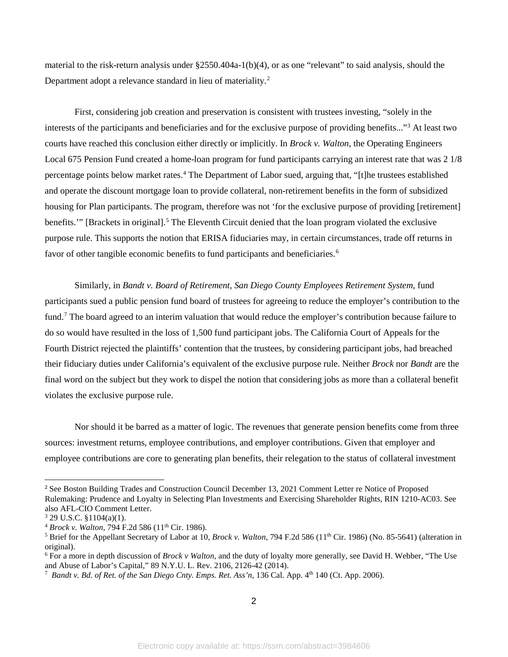material to the risk-return analysis under §2550.404a-1(b)(4), or as one "relevant" to said analysis, should the Department adopt a relevance standard in lieu of materiality.<sup>[2](#page-2-0)</sup>

First, considering job creation and preservation is consistent with trustees investing, "solely in the interests of the participants and beneficiaries and for the exclusive purpose of providing benefits..."[3](#page-2-1) At least two courts have reached this conclusion either directly or implicitly. In *Brock v. Walton*, the Operating Engineers Local 675 Pension Fund created a home-loan program for fund participants carrying an interest rate that was 2 1/8 percentage points below market rates.<sup>[4](#page-2-2)</sup> The Department of Labor sued, arguing that, "[t]he trustees established and operate the discount mortgage loan to provide collateral, non-retirement benefits in the form of subsidized housing for Plan participants. The program, therefore was not 'for the exclusive purpose of providing [retirement] benefits.'" [Brackets in original].[5](#page-2-3) The Eleventh Circuit denied that the loan program violated the exclusive purpose rule. This supports the notion that ERISA fiduciaries may, in certain circumstances, trade off returns in favor of other tangible economic benefits to fund participants and beneficiaries.<sup>[6](#page-2-4)</sup>

Similarly, in *Bandt v. Board of Retirement, San Diego County Employees Retirement System*, fund participants sued a public pension fund board of trustees for agreeing to reduce the employer's contribution to the fund[.7](#page-2-5) The board agreed to an interim valuation that would reduce the employer's contribution because failure to do so would have resulted in the loss of 1,500 fund participant jobs. The California Court of Appeals for the Fourth District rejected the plaintiffs' contention that the trustees, by considering participant jobs, had breached their fiduciary duties under California's equivalent of the exclusive purpose rule. Neither *Brock* nor *Bandt* are the final word on the subject but they work to dispel the notion that considering jobs as more than a collateral benefit violates the exclusive purpose rule.

Nor should it be barred as a matter of logic. The revenues that generate pension benefits come from three sources: investment returns, employee contributions, and employer contributions. Given that employer and employee contributions are core to generating plan benefits, their relegation to the status of collateral investment

 $\overline{a}$ 

<span id="page-2-0"></span><sup>&</sup>lt;sup>2</sup> See Boston Building Trades and Construction Council December 13, 2021 Comment Letter re Notice of Proposed Rulemaking: Prudence and Loyalty in Selecting Plan Investments and Exercising Shareholder Rights, RIN 1210-AC03. See also AFL-CIO Comment Letter.

<span id="page-2-1"></span> $3$  29 U.S.C. §1104(a)(1).

<span id="page-2-2"></span><sup>4</sup> *Brock v. Walton,* 794 F.2d 586 (11th Cir. 1986).

<span id="page-2-3"></span><sup>&</sup>lt;sup>5</sup> Brief for the Appellant Secretary of Labor at 10, *Brock v. Walton*, 794 F.2d 586 (11<sup>th</sup> Cir. 1986) (No. 85-5641) (alteration in original).

<span id="page-2-4"></span><sup>6</sup> For a more in depth discussion of *Brock v Walton*, and the duty of loyalty more generally, see David H. Webber, "The Use and Abuse of Labor's Capital," 89 N.Y.U. L. Rev. 2106, 2126-42 (2014).

<span id="page-2-5"></span><sup>&</sup>lt;sup>7</sup> Bandt v. Bd. of Ret. of the San Diego Cnty. Emps. Ret. Ass'n, 136 Cal. App. 4<sup>th</sup> 140 (Ct. App. 2006).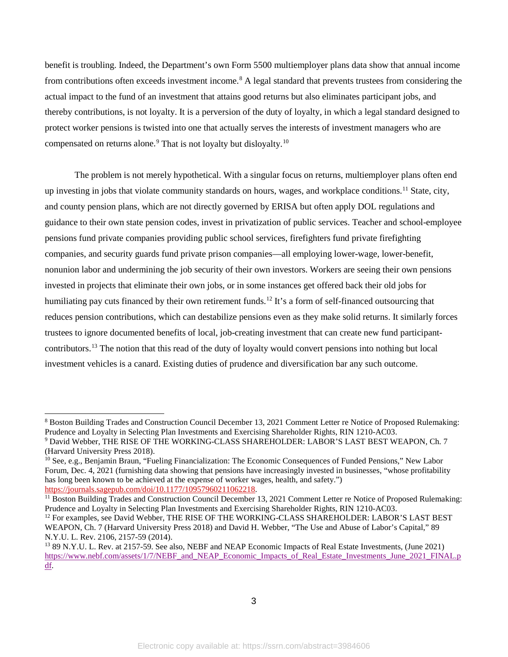benefit is troubling. Indeed, the Department's own Form 5500 multiemployer plans data show that annual income from contributions often exceeds investment income.<sup>[8](#page-3-0)</sup> A legal standard that prevents trustees from considering the actual impact to the fund of an investment that attains good returns but also eliminates participant jobs, and thereby contributions, is not loyalty. It is a perversion of the duty of loyalty, in which a legal standard designed to protect worker pensions is twisted into one that actually serves the interests of investment managers who are compensated on returns alone.<sup>[9](#page-3-1)</sup> That is not loyalty but disloyalty.<sup>[10](#page-3-2)</sup>

The problem is not merely hypothetical. With a singular focus on returns, multiemployer plans often end up investing in jobs that violate community standards on hours, wages, and workplace conditions.[11](#page-3-3) State, city, and county pension plans, which are not directly governed by ERISA but often apply DOL regulations and guidance to their own state pension codes, invest in privatization of public services. Teacher and school-employee pensions fund private companies providing public school services, firefighters fund private firefighting companies, and security guards fund private prison companies—all employing lower-wage, lower-benefit, nonunion labor and undermining the job security of their own investors. Workers are seeing their own pensions invested in projects that eliminate their own jobs, or in some instances get offered back their old jobs for humiliating pay cuts financed by their own retirement funds.<sup>[12](#page-3-4)</sup> It's a form of self-financed outsourcing that reduces pension contributions, which can destabilize pensions even as they make solid returns. It similarly forces trustees to ignore documented benefits of local, job-creating investment that can create new fund participantcontributors[.13](#page-3-5) The notion that this read of the duty of loyalty would convert pensions into nothing but local investment vehicles is a canard. Existing duties of prudence and diversification bar any such outcome.

 $\overline{a}$ 

<span id="page-3-0"></span><sup>8</sup> Boston Building Trades and Construction Council December 13, 2021 Comment Letter re Notice of Proposed Rulemaking: Prudence and Loyalty in Selecting Plan Investments and Exercising Shareholder Rights, RIN 1210-AC03.

<span id="page-3-1"></span><sup>9</sup> David Webber, THE RISE OF THE WORKING-CLASS SHAREHOLDER: LABOR'S LAST BEST WEAPON, Ch. 7 (Harvard University Press 2018).

<span id="page-3-2"></span><sup>&</sup>lt;sup>10</sup> See, e.g., Benjamin Braun, "Fueling Financialization: The Economic Consequences of Funded Pensions," New Labor Forum, Dec. 4, 2021 (furnishing data showing that pensions have increasingly invested in businesses, "whose profitability has long been known to be achieved at the expense of worker wages, health, and safety.") https://journals.sagepub.com/doi/10.1177/10957960211062218.

<span id="page-3-3"></span> $11$  Boston Building Trades and Construction Council December 13, 2021 Comment Letter re Notice of Proposed Rulemaking: Prudence and Loyalty in Selecting Plan Investments and Exercising Shareholder Rights, RIN 1210-AC03.

<span id="page-3-4"></span><sup>&</sup>lt;sup>12</sup> For examples, see David Webber, THE RISE OF THE WORKING-CLASS SHAREHOLDER: LABOR'S LAST BEST WEAPON, Ch. 7 (Harvard University Press 2018) and David H. Webber, "The Use and Abuse of Labor's Capital," 89 N.Y.U. L. Rev. 2106, 2157-59 (2014).

<span id="page-3-5"></span><sup>13</sup> 89 N.Y.U. L. Rev. at 2157-59. See also, NEBF and NEAP Economic Impacts of Real Estate Investments, (June 2021) [https://www.nebf.com/assets/1/7/NEBF\\_and\\_NEAP\\_Economic\\_Impacts\\_of\\_Real\\_Estate\\_Investments\\_June\\_2021\\_FINAL.p](https://www.nebf.com/assets/1/7/NEBF_and_NEAP_Economic_Impacts_of_Real_Estate_Investments_June_2021_FINAL.pdf) [df.](https://www.nebf.com/assets/1/7/NEBF_and_NEAP_Economic_Impacts_of_Real_Estate_Investments_June_2021_FINAL.pdf)